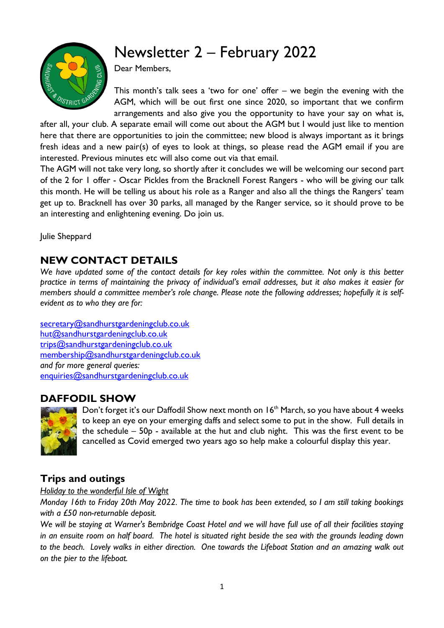# Newsletter 2 – February 2022



Dear Members,

This month's talk sees a 'two for one' offer – we begin the evening with the AGM, which will be out first one since 2020, so important that we confirm arrangements and also give you the opportunity to have your say on what is,

after all, your club. A separate email will come out about the AGM but I would just like to mention here that there are opportunities to join the committee; new blood is always important as it brings fresh ideas and a new pair(s) of eyes to look at things, so please read the AGM email if you are interested. Previous minutes etc will also come out via that email.

The AGM will not take very long, so shortly after it concludes we will be welcoming our second part of the 2 for 1 offer - Oscar Pickles from the Bracknell Forest Rangers - who will be giving our talk this month. He will be telling us about his role as a Ranger and also all the things the Rangers' team get up to. Bracknell has over 30 parks, all managed by the Ranger service, so it should prove to be an interesting and enlightening evening. Do join us.

Julie Sheppard

## **NEW CONTACT DETAILS**

*We have updated some of the contact details for key roles within the committee. Not only is this better practice in terms of maintaining the privacy of individual's email addresses, but it also makes it easier for members should a committee member's role change. Please note the following addresses; hopefully it is selfevident as to who they are for:*

[secretary@sandhurstgardeningclub.co.uk](mailto:secretary@sandhurstgardeningclub.co.uk) [hut@sandhurstgardeningclub.co.uk](mailto:hut@sandhurstgardeningclub.co.uk) [trips@sandhurstgardeningclub.co.uk](mailto:trips@sandhurstgardeningclub.co.uk) [membership@sandhurstgardeningclub.co.uk](mailto:membership@sandhurstgardeningclub.co.uk) *and for more general queries:* [enquiries@sandhurstgardeningclub.co.uk](mailto:enquiries@sandhurstgardeningclub.co.uk)

#### **DAFFODIL SHOW**



Don't forget it's our Daffodil Show next month on 16<sup>th</sup> March, so you have about 4 weeks to keep an eye on your emerging daffs and select some to put in the show. Full details in the schedule – 50p - available at the hut and club night. This was the first event to be cancelled as Covid emerged two years ago so help make a colourful display this year.

## **Trips and outings**

*Holiday to the wonderful Isle of Wight* 

*Monday 16th to Friday 20th May 2022. The time to book has been extended, so I am still taking bookings with a £50 non-returnable deposit.* 

*We will be staying at Warner's Bembridge Coast Hotel and we will have full use of all their facilities staying in an ensuite room on half board. The hotel is situated right beside the sea with the grounds leading down to the beach. Lovely walks in either direction. One towards the Lifeboat Station and an amazing walk out on the pier to the lifeboat.*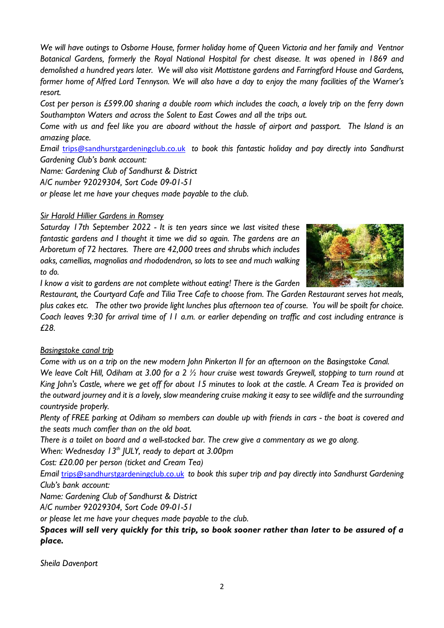*We will have outings to Osborne House, former holiday home of Queen Victoria and her family and Ventnor Botanical Gardens, formerly the Royal National Hospital for chest disease. It was opened in 1869 and demolished a hundred years later. We will also visit Mottistone gardens and Farringford House and Gardens, former home of Alfred Lord Tennyson. We will also have a day to enjoy the many facilities of the Warner's resort.*

*Cost per person is £599.00 sharing a double room which includes the coach, a lovely trip on the ferry down Southampton Waters and across the Solent to East Cowes and all the trips out.*

*Come with us and feel like you are aboard without the hassle of airport and passport. The Island is an amazing place.*

*Email* [trips@sandhurstgardeningclub.co.uk](mailto:trips@sandhurstgardeningclub.co.uk) *to book this fantastic holiday and pay directly into Sandhurst Gardening Club's bank account:*

*Name: Gardening Club of Sandhurst & District*

*A/C number 92029304, Sort Code 09-01-51*

*or please let me have your cheques made payable to the club.*

#### *Sir Harold Hillier Gardens in Romsey*

*Saturday 17th September 2022 - It is ten years since we last visited these fantastic gardens and I thought it time we did so again. The gardens are an Arboretum of 72 hectares. There are 42,000 trees and shrubs which includes oaks, camellias, magnolias and rhododendron, so lots to see and much walking to do.*



*I know a visit to gardens are not complete without eating! There is the Garden* 

*Restaurant, the Courtyard Cafe and Tilia Tree Cafe to choose from. The Garden Restaurant serves hot meals, plus cakes etc. The other two provide light lunches plus afternoon tea of course. You will be spoilt for choice. Coach leaves 9:30 for arrival time of 11 a.m. or earlier depending on traffic and cost including entrance is £28.* 

#### *Basingstoke canal trip*

*Come with us on a trip on the new modern John Pinkerton II for an afternoon on the Basingstoke Canal. We leave Colt Hill, Odiham at 3.00 for a 2 ½ hour cruise west towards Greywell, stopping to turn round at King John's Castle, where we get off for about 15 minutes to look at the castle. A Cream Tea is provided on the outward journey and it is a lovely, slow meandering cruise making it easy to see wildlife and the surrounding countryside properly.*

*Plenty of FREE parking at Odiham so members can double up with friends in cars - the boat is covered and the seats much comfier than on the old boat.*

*There is a toilet on board and a well-stocked bar. The crew give a commentary as we go along.*

*When: Wednesday 13th JULY, ready to depart at 3.00pm* 

*Cost: £20.00 per person (ticket and Cream Tea)*

*Email* [trips@sandhurstgardeningclub.co.uk](mailto:trips@sandhurstgardeningclub.co.uk) *to book this super trip and pay directly into Sandhurst Gardening Club's bank account:*

*Name: Gardening Club of Sandhurst & District*

*A/C number 92029304, Sort Code 09-01-51*

*or please let me have your cheques made payable to the club.*

#### *Spaces will sell very quickly for this trip, so book sooner rather than later to be assured of a place.*

*Sheila Davenport*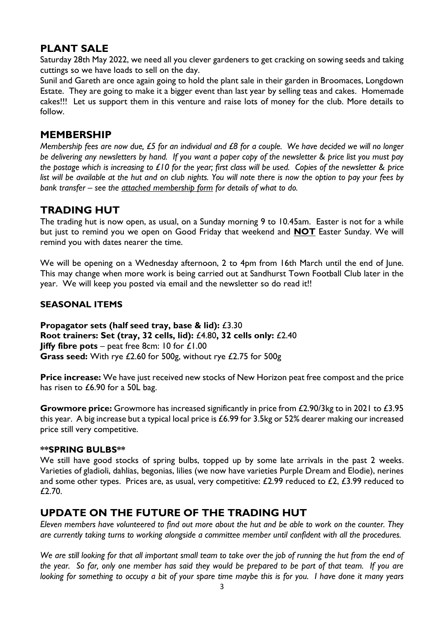## **PLANT SALE**

Saturday 28th May 2022, we need all you clever gardeners to get cracking on sowing seeds and taking cuttings so we have loads to sell on the day.

Sunil and Gareth are once again going to hold the plant sale in their garden in Broomaces, Longdown Estate. They are going to make it a bigger event than last year by selling teas and cakes. Homemade cakes!!! Let us support them in this venture and raise lots of money for the club. More details to follow.

#### **MEMBERSHIP**

*Membership fees are now due, £5 for an individual and £8 for a couple. We have decided we will no longer be delivering any newsletters by hand. If you want a paper copy of the newsletter & price list you must pay the postage which is increasing to £10 for the year; first class will be used. Copies of the newsletter & price list will be available at the hut and on club nights. You will note there is now the option to pay your fees by bank transfer – see the attached membership form for details of what to do.* 

### **TRADING HUT**

The trading hut is now open, as usual, on a Sunday morning 9 to 10.45am. Easter is not for a while but just to remind you we open on Good Friday that weekend and **NOT** Easter Sunday. We will remind you with dates nearer the time.

We will be opening on a Wednesday afternoon, 2 to 4pm from 16th March until the end of June. This may change when more work is being carried out at Sandhurst Town Football Club later in the year. We will keep you posted via email and the newsletter so do read it!!

#### **SEASONAL ITEMS**

**Propagator sets (half seed tray, base & lid):** £3.30 **Root trainers: Set (tray, 32 cells, lid):** £4.80**, 32 cells only:** £2.40 **Jiffy fibre pots** – peat free 8cm: 10 for £1.00 **Grass seed:** With rye £2.60 for 500g, without rye £2.75 for 500g

**Price increase:** We have just received new stocks of New Horizon peat free compost and the price has risen to £6.90 for a 50L bag.

**Growmore price:** Growmore has increased significantly in price from £2.90/3kg to in 2021 to £3.95 this year. A big increase but a typical local price is £6.99 for 3.5kg or 52% dearer making our increased price still very competitive.

#### **\*\*SPRING BULBS\*\***

We still have good stocks of spring bulbs, topped up by some late arrivals in the past 2 weeks. Varieties of gladioli, dahlias, begonias, lilies (we now have varieties Purple Dream and Elodie), nerines and some other types. Prices are, as usual, very competitive:  $£2.99$  reduced to  $£2, £3.99$  reduced to £2.70.

#### **UPDATE ON THE FUTURE OF THE TRADING HUT**

*Eleven members have volunteered to find out more about the hut and be able to work on the counter. They are currently taking turns to working alongside a committee member until confident with all the procedures.*

*We are still looking for that all important small team to take over the job of running the hut from the end of the year. So far, only one member has said they would be prepared to be part of that team. If you are looking for something to occupy a bit of your spare time maybe this is for you. I have done it many years*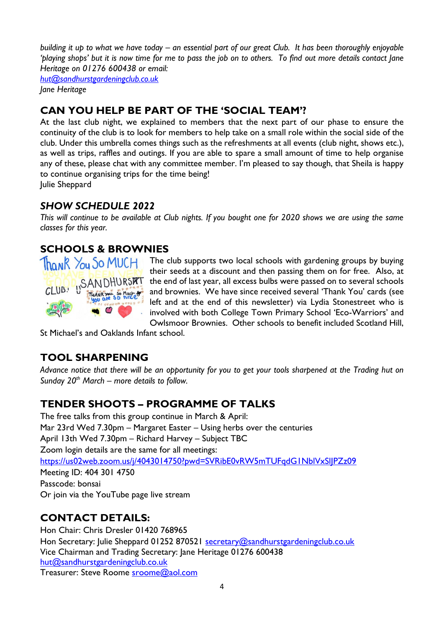*building it up to what we have today – an essential part of our great Club. It has been thoroughly enjoyable 'playing shops' but it is now time for me to pass the job on to others. To find out more details contact Jane Heritage on 01276 600438 or email:*

*[hut@sandhurstgardeningclub.co.uk](mailto:hut@sandhurstgardeningclub.co.uk) Jane Heritage*

# **CAN YOU HELP BE PART OF THE 'SOCIAL TEAM'?**

At the last club night, we explained to members that the next part of our phase to ensure the continuity of the club is to look for members to help take on a small role within the social side of the club. Under this umbrella comes things such as the refreshments at all events (club night, shows etc.), as well as trips, raffles and outings. If you are able to spare a small amount of time to help organise any of these, please chat with any committee member. I'm pleased to say though, that Sheila is happy to continue organising trips for the time being!

Julie Sheppard

## *SHOW SCHEDULE 2022*

*This will continue to be available at Club nights. If you bought one for 2020 shows we are using the same classes for this year.*

# **SCHOOLS & BROWNIES**



Thank You So MUCH The club supports two local schools with gardening groups by buying their seeds at a discount and then passing them on for free. Also, at the end of last year, all excess bulbs were passed on to several schools and brownies. We have since received several 'Thank You' cards (see left and at the end of this newsletter) via Lydia Stonestreet who is involved with both College Town Primary School 'Eco-Warriors' and Owlsmoor Brownies. Other schools to benefit included Scotland Hill,

St Michael's and Oaklands Infant school.

# **TOOL SHARPENING**

*Advance notice that there will be an opportunity for you to get your tools sharpened at the Trading hut on Sunday 20th March – more details to follow.*

# **TENDER SHOOTS – PROGRAMME OF TALKS**

The free talks from this group continue in March & April: Mar 23rd Wed 7.30pm – Margaret Easter – Using herbs over the centuries April 13th Wed 7.30pm – Richard Harvey – Subject TBC Zoom login details are the same for all meetings: <https://us02web.zoom.us/j/4043014750?pwd=SVRibE0vRW5mTUFqdG1NblVxSlJPZz09> Meeting ID: 404 301 4750 Passcode: bonsai Or join via the YouTube page live stream

# **CONTACT DETAILS:**

Hon Chair: Chris Dresler 01420 768965 Hon Secretary: Julie Sheppard 01252 870521 [secretary@sandhurstgardeningclub.co.uk](mailto:secretary@sandhurstgardeningclub.co.uk) Vice Chairman and Trading Secretary: Jane Heritage 01276 600438 [hut@sandhurstgardeningclub.co.uk](mailto:hut@sandhurstgardeningclub.co.uk) Treasurer: Steve Roome [sroome@aol.com](mailto:sroome@aol.com)